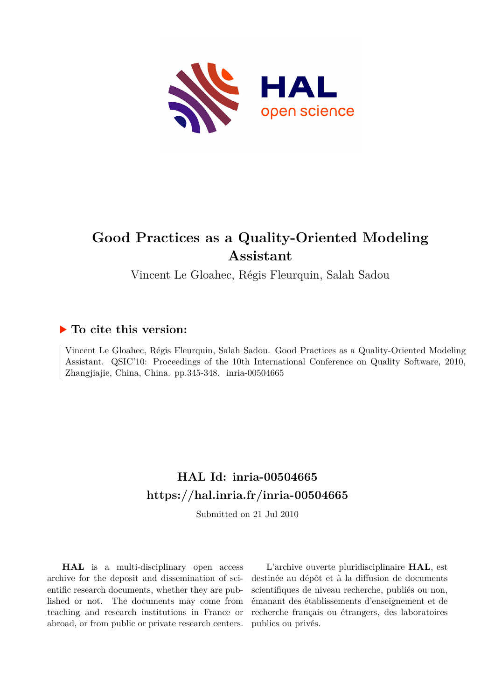

## **Good Practices as a Quality-Oriented Modeling Assistant**

Vincent Le Gloahec, Régis Fleurquin, Salah Sadou

### **To cite this version:**

Vincent Le Gloahec, Régis Fleurquin, Salah Sadou. Good Practices as a Quality-Oriented Modeling Assistant. QSIC'10: Proceedings of the 10th International Conference on Quality Software, 2010, Zhangjiajie, China, China. pp.345-348. inria-00504665

## **HAL Id: inria-00504665 <https://hal.inria.fr/inria-00504665>**

Submitted on 21 Jul 2010

**HAL** is a multi-disciplinary open access archive for the deposit and dissemination of scientific research documents, whether they are published or not. The documents may come from teaching and research institutions in France or abroad, or from public or private research centers.

L'archive ouverte pluridisciplinaire **HAL**, est destinée au dépôt et à la diffusion de documents scientifiques de niveau recherche, publiés ou non, émanant des établissements d'enseignement et de recherche français ou étrangers, des laboratoires publics ou privés.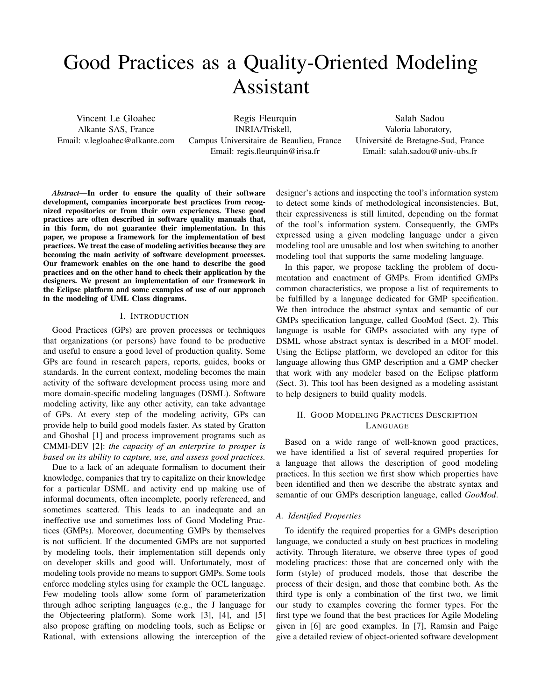# Good Practices as a Quality-Oriented Modeling Assistant

Vincent Le Gloahec Alkante SAS, France Email: v.legloahec@alkante.com

Regis Fleurquin INRIA/Triskell, Campus Universitaire de Beaulieu, France Email: regis.fleurquin@irisa.fr

Salah Sadou Valoria laboratory, Université de Bretagne-Sud, France Email: salah.sadou@univ-ubs.fr

*Abstract*—In order to ensure the quality of their software development, companies incorporate best practices from recognized repositories or from their own experiences. These good practices are often described in software quality manuals that, in this form, do not guarantee their implementation. In this paper, we propose a framework for the implementation of best practices. We treat the case of modeling activities because they are becoming the main activity of software development processes. Our framework enables on the one hand to describe the good practices and on the other hand to check their application by the designers. We present an implementation of our framework in the Eclipse platform and some examples of use of our approach in the modeling of UML Class diagrams.

#### I. INTRODUCTION

Good Practices (GPs) are proven processes or techniques that organizations (or persons) have found to be productive and useful to ensure a good level of production quality. Some GPs are found in research papers, reports, guides, books or standards. In the current context, modeling becomes the main activity of the software development process using more and more domain-specific modeling languages (DSML). Software modeling activity, like any other activity, can take advantage of GPs. At every step of the modeling activity, GPs can provide help to build good models faster. As stated by Gratton and Ghoshal [1] and process improvement programs such as CMMI-DEV [2]: *the capacity of an enterprise to prosper is based on its ability to capture, use, and assess good practices.*

Due to a lack of an adequate formalism to document their knowledge, companies that try to capitalize on their knowledge for a particular DSML and activity end up making use of informal documents, often incomplete, poorly referenced, and sometimes scattered. This leads to an inadequate and an ineffective use and sometimes loss of Good Modeling Practices (GMPs). Moreover, documenting GMPs by themselves is not sufficient. If the documented GMPs are not supported by modeling tools, their implementation still depends only on developer skills and good will. Unfortunately, most of modeling tools provide no means to support GMPs. Some tools enforce modeling styles using for example the OCL language. Few modeling tools allow some form of parameterization through adhoc scripting languages (e.g., the J language for the Objecteering platform). Some work [3], [4], and [5] also propose grafting on modeling tools, such as Eclipse or Rational, with extensions allowing the interception of the

designer's actions and inspecting the tool's information system to detect some kinds of methodological inconsistencies. But, their expressiveness is still limited, depending on the format of the tool's information system. Consequently, the GMPs expressed using a given modeling language under a given modeling tool are unusable and lost when switching to another modeling tool that supports the same modeling language.

In this paper, we propose tackling the problem of documentation and enactment of GMPs. From identified GMPs common characteristics, we propose a list of requirements to be fulfilled by a language dedicated for GMP specification. We then introduce the abstract syntax and semantic of our GMPs specification language, called GooMod (Sect. 2). This language is usable for GMPs associated with any type of DSML whose abstract syntax is described in a MOF model. Using the Eclipse platform, we developed an editor for this language allowing thus GMP description and a GMP checker that work with any modeler based on the Eclipse platform (Sect. 3). This tool has been designed as a modeling assistant to help designers to build quality models.

#### II. GOOD MODELING PRACTICES DESCRIPTION LANGUAGE

Based on a wide range of well-known good practices, we have identified a list of several required properties for a language that allows the description of good modeling practices. In this section we first show which properties have been identified and then we describe the abstratc syntax and semantic of our GMPs description language, called *GooMod*.

#### *A. Identified Properties*

To identify the required properties for a GMPs description language, we conducted a study on best practices in modeling activity. Through literature, we observe three types of good modeling practices: those that are concerned only with the form (style) of produced models, those that describe the process of their design, and those that combine both. As the third type is only a combination of the first two, we limit our study to examples covering the former types. For the first type we found that the best practices for Agile Modeling given in [6] are good examples. In [7], Ramsin and Paige give a detailed review of object-oriented software development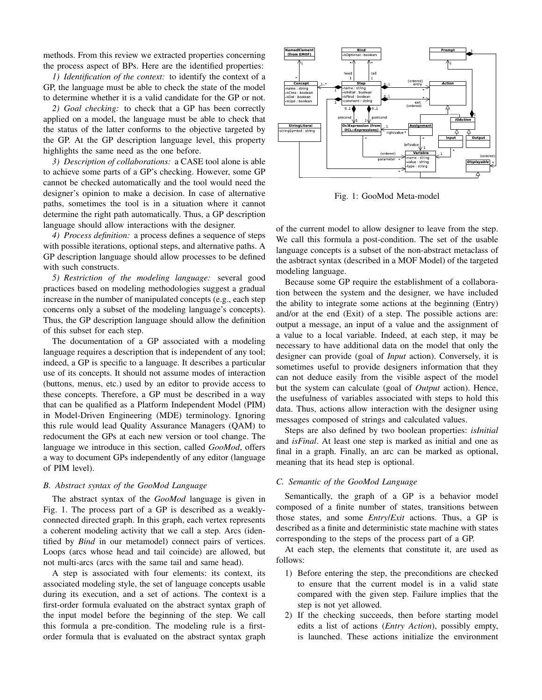methods. From this review we extracted properties concerning the process aspect of BPs. Here are the identified properties:

*1) Identification of the context:* to identify the context of a GP, the language must be able to check the state of the model to determine whether it is a valid candidate for the GP or not.

*2) Goal checking:* to check that a GP has been correctly applied on a model, the language must be able to check that the status of the latter conforms to the objective targeted by the GP. At the GP description language level, this property highlights the same need as the one before.

*3) Description of collaborations:* a CASE tool alone is able to achieve some parts of a GP's checking. However, some GP cannot be checked automatically and the tool would need the designer's opinion to make a decision. In case of alternative paths, sometimes the tool is in a situation where it cannot determine the right path automatically. Thus, a GP description language should allow interactions with the designer.

*4) Process definition:* a process defines a sequence of steps with possible iterations, optional steps, and alternative paths. A GP description language should allow processes to be defined with such constructs.

*5) Restriction of the modeling language:* several good practices based on modeling methodologies suggest a gradual increase in the number of manipulated concepts (e.g., each step concerns only a subset of the modeling language's concepts). Thus, the GP description language should allow the definition of this subset for each step.

The documentation of a GP associated with a modeling language requires a description that is independent of any tool; indeed, a GP is specific to a language. It describes a particular use of its concepts. It should not assume modes of interaction (buttons, menus, etc.) used by an editor to provide access to these concepts. Therefore, a GP must be described in a way that can be qualified as a Platform Independent Model (PIM) in Model-Driven Engineering (MDE) terminology. Ignoring this rule would lead Quality Assurance Managers (QAM) to redocument the GPs at each new version or tool change. The language we introduce in this section, called *GooMod*, offers a way to document GPs independently of any editor (language of PIM level).

#### *B. Abstract syntax of the GooMod Language*

The abstract syntax of the *GooMod* language is given in Fig. 1. The process part of a GP is described as a weaklyconnected directed graph. In this graph, each vertex represents a coherent modeling activity that we call a step. Arcs (identified by *Bind* in our metamodel) connect pairs of vertices. Loops (arcs whose head and tail coincide) are allowed, but not multi-arcs (arcs with the same tail and same head).

A step is associated with four elements: its context, its associated modeling style, the set of language concepts usable during its execution, and a set of actions. The context is a first-order formula evaluated on the abstract syntax graph of the input model before the beginning of the step. We call this formula a pre-condition. The modeling rule is a firstorder formula that is evaluated on the abstract syntax graph



Fig. 1: GooMod Meta-model

of the current model to allow designer to leave from the step. We call this formula a post-condition. The set of the usable language concepts is a subset of the non-abstract metaclass of the asbtract syntax (described in a MOF Model) of the targeted modeling language.

Because some GP require the establishment of a collaboration between the system and the designer, we have included the ability to integrate some actions at the beginning (Entry) and/or at the end (Exit) of a step. The possible actions are: output a message, an input of a value and the assignment of a value to a local variable. Indeed, at each step, it may be necessary to have additional data on the model that only the designer can provide (goal of *Input* action). Conversely, it is sometimes useful to provide designers information that they can not deduce easily from the visible aspect of the model but the system can calculate (goal of *Output* action). Hence, the usefulness of variables associated with steps to hold this data. Thus, actions allow interaction with the designer using messages composed of strings and calculated values.

Steps are also defined by two boolean properties: *isInitial* and *isFinal*. At least one step is marked as initial and one as final in a graph. Finally, an arc can be marked as optional, meaning that its head step is optional.

#### *C. Semantic of the GooMod Language*

Semantically, the graph of a GP is a behavior model composed of a finite number of states, transitions between those states, and some *Entry*/*Exit* actions. Thus, a GP is described as a finite and deterministic state machine with states corresponding to the steps of the process part of a GP.

At each step, the elements that constitute it, are used as follows:

- 1) Before entering the step, the preconditions are checked to ensure that the current model is in a valid state compared with the given step. Failure implies that the step is not yet allowed.
- 2) If the checking succeeds, then before starting model edits a list of actions (*Entry Action*), possibly empty, is launched. These actions initialize the environment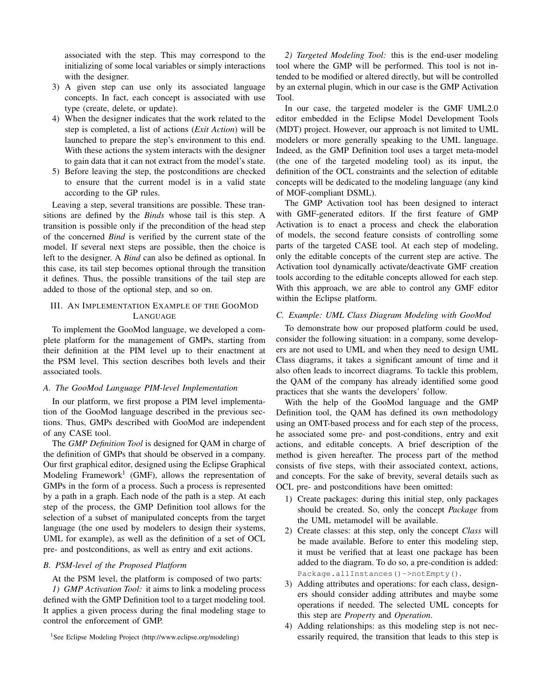associated with the step. This may correspond to the initializing of some local variables or simply interactions with the designer.

- 3) A given step can use only its associated language concepts. In fact, each concept is associated with use type (create, delete, or update).
- 4) When the designer indicates that the work related to the step is completed, a list of actions (*Exit Action*) will be launched to prepare the step's environment to this end. With these actions the system interacts with the designer to gain data that it can not extract from the model's state.
- 5) Before leaving the step, the postconditions are checked to ensure that the current model is in a valid state according to the GP rules.

Leaving a step, several transitions are possible. These transitions are defined by the *Binds* whose tail is this step. A transition is possible only if the precondition of the head step of the concerned *Bind* is verified by the current state of the model. If several next steps are possible, then the choice is left to the designer. A *Bind* can also be defined as optional. In this case, its tail step becomes optional through the transition it defines. Thus, the possible transitions of the tail step are added to those of the optional step, and so on.

#### III. AN IMPLEMENTATION EXAMPLE OF THE GOOMOD LANGUAGE

To implement the GooMod language, we developed a complete platform for the management of GMPs, starting from their definition at the PIM level up to their enactment at the PSM level. This section describes both levels and their associated tools.

#### *A. The GooMod Language PIM-level Implementation*

In our platform, we first propose a PIM level implementation of the GooMod language described in the previous sections. Thus, GMPs described with GooMod are independent of any CASE tool.

The *GMP Definition Tool* is designed for QAM in charge of the definition of GMPs that should be observed in a company. Our first graphical editor, designed using the Eclipse Graphical Modeling Framework<sup>1</sup> (GMF), allows the representation of GMPs in the form of a process. Such a process is represented by a path in a graph. Each node of the path is a step. At each step of the process, the GMP Definition tool allows for the selection of a subset of manipulated concepts from the target language (the one used by modelers to design their systems, UML for example), as well as the definition of a set of OCL pre- and postconditions, as well as entry and exit actions.

#### *B. PSM-level of the Proposed Platform*

At the PSM level, the platform is composed of two parts: *1) GMP Activation Tool:* it aims to link a modeling process defined with the GMP Definition tool to a target modeling tool. It applies a given process during the final modeling stage to control the enforcement of GMP.

*2) Targeted Modeling Tool:* this is the end-user modeling tool where the GMP will be performed. This tool is not intended to be modified or altered directly, but will be controlled by an external plugin, which in our case is the GMP Activation Tool.

In our case, the targeted modeler is the GMF UML2.0 editor embedded in the Eclipse Model Development Tools (MDT) project. However, our approach is not limited to UML modelers or more generally speaking to the UML language. Indeed, as the GMP Definition tool uses a target meta-model (the one of the targeted modeling tool) as its input, the definition of the OCL constraints and the selection of editable concepts will be dedicated to the modeling language (any kind of MOF-compliant DSML).

The GMP Activation tool has been designed to interact with GMF-generated editors. If the first feature of GMP Activation is to enact a process and check the elaboration of models, the second feature consists of controlling some parts of the targeted CASE tool. At each step of modeling, only the editable concepts of the current step are active. The Activation tool dynamically activate/deactivate GMF creation tools according to the editable concepts allowed for each step. With this approach, we are able to control any GMF editor within the Eclipse platform.

#### *C. Example: UML Class Diagram Modeling with GooMod*

To demonstrate how our proposed platform could be used, consider the following situation: in a company, some developers are not used to UML and when they need to design UML Class diagrams, it takes a significant amount of time and it also often leads to incorrect diagrams. To tackle this problem, the QAM of the company has already identified some good practices that she wants the developers' follow.

With the help of the GooMod language and the GMP Definition tool, the QAM has defined its own methodology using an OMT-based process and for each step of the process, he associated some pre- and post-conditions, entry and exit actions, and editable concepts. A brief description of the method is given hereafter. The process part of the method consists of five steps, with their associated context, actions, and concepts. For the sake of brevity, several details such as OCL pre- and postconditions have been omitted:

- 1) Create packages: during this initial step, only packages should be created. So, only the concept *Package* from the UML metamodel will be available.
- 2) Create classes: at this step, only the concept *Class* will be made available. Before to enter this modeling step, it must be verified that at least one package has been added to the diagram. To do so, a pre-condition is added: Package.allInstances()->notEmpty().
- 3) Adding attributes and operations: for each class, designers should consider adding attributes and maybe some operations if needed. The selected UML concepts for this step are *Property* and *Operation*.
- 4) Adding relationships: as this modeling step is not necessarily required, the transition that leads to this step is

<sup>1</sup>See Eclipse Modeling Project (http://www.eclipse.org/modeling)